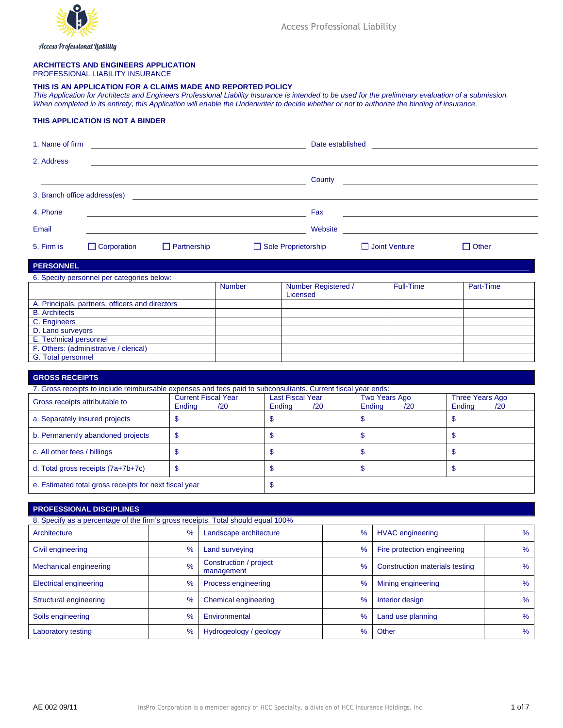

Access Professional Liability

# **ARCHITECTS AND ENGINEERS APPLICATION**

PROFESSIONAL LIABILITY INSURANCE

#### **THIS IS AN APPLICATION FOR A CLAIMS MADE AND REPORTED POLICY**

*This Application for Architects and Engineers Professional Liability Insurance is intended to be used for the preliminary evaluation of a submission. When completed in its entirety, this Application will enable the Underwriter to decide whether or not to authorize the binding of insurance.* 

## **THIS APPLICATION IS NOT A BINDER**

| 1. Name of firm                |                                                                                                                                                                                         |                    |                                                 |    | Date established                |     |                                  |              |
|--------------------------------|-----------------------------------------------------------------------------------------------------------------------------------------------------------------------------------------|--------------------|-------------------------------------------------|----|---------------------------------|-----|----------------------------------|--------------|
| 2. Address                     |                                                                                                                                                                                         |                    |                                                 |    |                                 |     |                                  |              |
|                                |                                                                                                                                                                                         |                    |                                                 |    | County                          |     |                                  |              |
| 3. Branch office address(es)   |                                                                                                                                                                                         |                    |                                                 |    |                                 |     |                                  |              |
| 4. Phone                       |                                                                                                                                                                                         |                    |                                                 |    | Fax                             |     |                                  |              |
| Email                          |                                                                                                                                                                                         |                    |                                                 |    | Website                         |     |                                  |              |
| 5. Firm is                     | $\Box$ Corporation                                                                                                                                                                      | $\Box$ Partnership |                                                 |    | Sole Proprietorship             |     | Joint Venture                    | $\Box$ Other |
| <b>PERSONNEL</b>               |                                                                                                                                                                                         |                    |                                                 |    |                                 |     |                                  |              |
|                                | 6. Specify personnel per categories below:                                                                                                                                              |                    |                                                 |    |                                 |     |                                  |              |
|                                |                                                                                                                                                                                         |                    | <b>Number</b>                                   |    | Number Registered /<br>Licensed |     | <b>Full-Time</b>                 | Part-Time    |
|                                | A. Principals, partners, officers and directors                                                                                                                                         |                    |                                                 |    |                                 |     |                                  |              |
| <b>B.</b> Architects           |                                                                                                                                                                                         |                    |                                                 |    |                                 |     |                                  |              |
| C. Engineers                   |                                                                                                                                                                                         |                    |                                                 |    |                                 |     |                                  |              |
| D. Land surveyors              |                                                                                                                                                                                         |                    |                                                 |    |                                 |     |                                  |              |
| E. Technical personnel         |                                                                                                                                                                                         |                    |                                                 |    |                                 |     |                                  |              |
|                                | F. Others: (administrative / clerical)                                                                                                                                                  |                    |                                                 |    |                                 |     |                                  |              |
| G. Total personnel             |                                                                                                                                                                                         |                    |                                                 |    |                                 |     |                                  |              |
|                                |                                                                                                                                                                                         |                    |                                                 |    |                                 |     |                                  |              |
| <b>GROSS RECEIPTS</b>          |                                                                                                                                                                                         |                    |                                                 |    |                                 |     |                                  |              |
|                                |                                                                                                                                                                                         |                    |                                                 |    |                                 |     |                                  |              |
|                                | 7. Gross receipts to include reimbursable expenses and fees paid to subconsultants. Current fiscal year ends:<br><b>Current Fiscal Year</b><br>Gross receipts attributable to<br>Ending |                    | <b>Last Fiscal Year</b><br>/20<br>Ending<br>/20 |    | Two Years Ago<br>Ending         | /20 | Three Years Ago<br>Ending<br>/20 |              |
| a. Separately insured projects |                                                                                                                                                                                         | \$                 |                                                 | \$ |                                 | \$  |                                  | \$           |
|                                | b. Permanently abandoned projects                                                                                                                                                       | $\mathbf{\$}$      |                                                 | \$ |                                 | \$  |                                  | \$           |
| c. All other fees / billings   |                                                                                                                                                                                         | $\mathsf{\$}$      |                                                 | \$ |                                 | \$  |                                  | \$           |

e. Estimated total gross receipts for next fiscal year **\$** \$

## **PROFESSIONAL DISCIPLINES**

| 8. Specify as a percentage of the firm's gross receipts. Total should equal 100% |      |                                      |                                        |                             |      |  |  |  |  |
|----------------------------------------------------------------------------------|------|--------------------------------------|----------------------------------------|-----------------------------|------|--|--|--|--|
| Architecture                                                                     | $\%$ | Landscape architecture               | $\%$                                   | <b>HVAC</b> engineering     | %    |  |  |  |  |
| Civil engineering<br>$\%$                                                        |      | Land surveying                       | $\frac{9}{6}$                          | Fire protection engineering | %    |  |  |  |  |
| $\%$<br>Mechanical engineering                                                   |      | Construction / project<br>management | Construction materials testing<br>$\%$ |                             | $\%$ |  |  |  |  |
| <b>Electrical engineering</b>                                                    | $\%$ | Process engineering                  | $\%$                                   | Mining engineering          | $\%$ |  |  |  |  |
| Structural engineering                                                           | $\%$ | Chemical engineering                 | $\%$                                   | Interior design             | $\%$ |  |  |  |  |
| Soils engineering                                                                | $\%$ | Environmental                        | $\%$                                   | Land use planning           | $\%$ |  |  |  |  |
| Laboratory testing                                                               | $\%$ | Hydrogeology / geology               | $\%$                                   | Other                       | $\%$ |  |  |  |  |

d. Total gross receipts (7a+7b+7c) \$ \$ \$ \$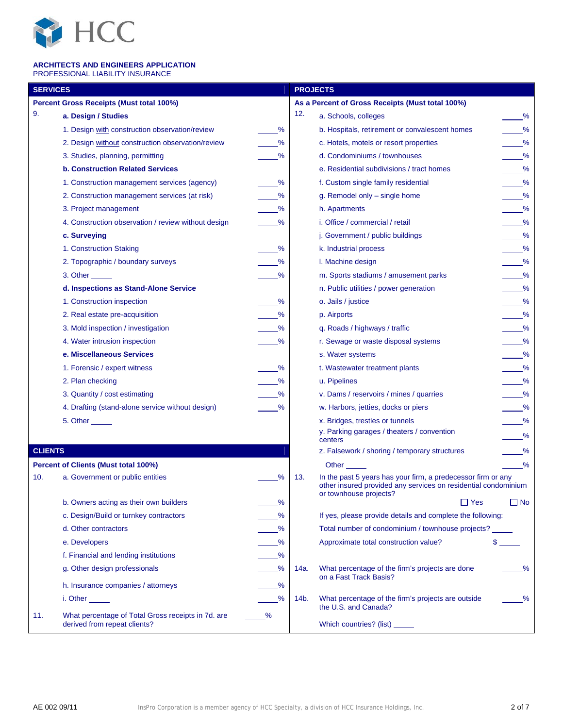

### **ARCHITECTS AND ENGINEERS APPLICATION**  PROFESSIONAL LIABILITY INSURANCE

| <b>SERVICES</b> |                                                                                    | <b>PROJECTS</b> |      |                                                                                                                                                          |                               |
|-----------------|------------------------------------------------------------------------------------|-----------------|------|----------------------------------------------------------------------------------------------------------------------------------------------------------|-------------------------------|
|                 | <b>Percent Gross Receipts (Must total 100%)</b>                                    |                 |      | As a Percent of Gross Receipts (Must total 100%)                                                                                                         |                               |
| 9.              | a. Design / Studies                                                                |                 | 12.  | a. Schools, colleges                                                                                                                                     | $\frac{9}{6}$                 |
|                 | 1. Design with construction observation/review                                     | %               |      | b. Hospitals, retirement or convalescent homes                                                                                                           | $\%$                          |
|                 | 2. Design without construction observation/review                                  | %               |      | c. Hotels, motels or resort properties                                                                                                                   | $\frac{9}{6}$                 |
|                 | 3. Studies, planning, permitting                                                   | %               |      | d. Condominiums / townhouses                                                                                                                             | $\frac{9}{6}$                 |
|                 | <b>b. Construction Related Services</b>                                            |                 |      | e. Residential subdivisions / tract homes                                                                                                                | $\frac{9}{6}$                 |
|                 | 1. Construction management services (agency)                                       | %               |      | f. Custom single family residential                                                                                                                      | $\frac{9}{6}$                 |
|                 | 2. Construction management services (at risk)                                      | %               |      | g. Remodel only - single home                                                                                                                            | $\%$                          |
|                 | 3. Project management                                                              | %               |      | h. Apartments                                                                                                                                            | $\frac{9}{6}$                 |
|                 | 4. Construction observation / review without design                                | %               |      | i. Office / commercial / retail                                                                                                                          | $\frac{9}{6}$                 |
|                 | c. Surveying                                                                       |                 |      | j. Government / public buildings                                                                                                                         | $\frac{9}{6}$                 |
|                 | 1. Construction Staking                                                            | %               |      | k. Industrial process                                                                                                                                    | $\frac{9}{6}$                 |
|                 | 2. Topographic / boundary surveys                                                  | %               |      | I. Machine design                                                                                                                                        | $\frac{9}{6}$                 |
|                 | 3. Other ______                                                                    | %               |      | m. Sports stadiums / amusement parks                                                                                                                     | $\frac{9}{6}$                 |
|                 | d. Inspections as Stand-Alone Service                                              |                 |      | n. Public utilities / power generation                                                                                                                   | $\frac{9}{6}$                 |
|                 | 1. Construction inspection                                                         | %               |      | o. Jails / justice                                                                                                                                       | $\frac{9}{6}$                 |
|                 | 2. Real estate pre-acquisition                                                     | %               |      | p. Airports                                                                                                                                              | $\frac{9}{6}$                 |
|                 | 3. Mold inspection / investigation                                                 | %               |      | q. Roads / highways / traffic                                                                                                                            | $\frac{9}{6}$                 |
|                 | 4. Water intrusion inspection                                                      | %               |      | r. Sewage or waste disposal systems                                                                                                                      | $\frac{9}{6}$                 |
|                 | e. Miscellaneous Services                                                          |                 |      | s. Water systems                                                                                                                                         | $\overline{\phantom{1}}^{\%}$ |
|                 | 1. Forensic / expert witness                                                       | %               |      | t. Wastewater treatment plants                                                                                                                           | $\frac{9}{6}$                 |
|                 | 2. Plan checking                                                                   | %               |      | u. Pipelines                                                                                                                                             | $\frac{9}{6}$                 |
|                 | 3. Quantity / cost estimating                                                      | %               |      | v. Dams / reservoirs / mines / quarries                                                                                                                  | $\frac{9}{6}$                 |
|                 | 4. Drafting (stand-alone service without design)                                   | %               |      | w. Harbors, jetties, docks or piers                                                                                                                      | $\frac{9}{6}$                 |
|                 | 5. Other ______                                                                    |                 |      | x. Bridges, trestles or tunnels                                                                                                                          | $\overline{\phantom{1}}^{\%}$ |
|                 |                                                                                    |                 |      | y. Parking garages / theaters / convention<br>centers                                                                                                    | $\frac{9}{6}$                 |
| <b>CLIENTS</b>  |                                                                                    |                 |      | z. Falsework / shoring / temporary structures                                                                                                            | $ \frac{\%}{\%}$              |
|                 | <b>Percent of Clients (Must total 100%)</b>                                        |                 |      | Other                                                                                                                                                    | $\frac{9}{6}$                 |
| 10.             | a. Government or public entities                                                   | %               | 13.  | In the past 5 years has your firm, a predecessor firm or any<br>other insured provided any services on residential condominium<br>or townhouse projects? |                               |
|                 | b. Owners acting as their own builders                                             | %               |      | $\Box$ Yes                                                                                                                                               | $\Box$ No                     |
|                 | c. Design/Build or turnkey contractors                                             | %               |      | If yes, please provide details and complete the following:                                                                                               |                               |
|                 | d. Other contractors                                                               | %               |      | Total number of condominium / townhouse projects?                                                                                                        |                               |
|                 | e. Developers                                                                      | %               |      | Approximate total construction value?                                                                                                                    | $\mathsf S$                   |
|                 | f. Financial and lending institutions                                              | %               |      |                                                                                                                                                          |                               |
|                 | g. Other design professionals                                                      | $\frac{9}{6}$   | 14a. | What percentage of the firm's projects are done<br>on a Fast Track Basis?                                                                                | $\%$                          |
|                 | h. Insurance companies / attorneys                                                 | %               |      |                                                                                                                                                          |                               |
|                 | i. Other $\_\_\_\_\_\_\_\$                                                         | %               | 14b. | What percentage of the firm's projects are outside<br>the U.S. and Canada?                                                                               | %                             |
| 11.             | What percentage of Total Gross receipts in 7d. are<br>derived from repeat clients? | %               |      | Which countries? (list) ______                                                                                                                           |                               |
|                 |                                                                                    |                 |      |                                                                                                                                                          |                               |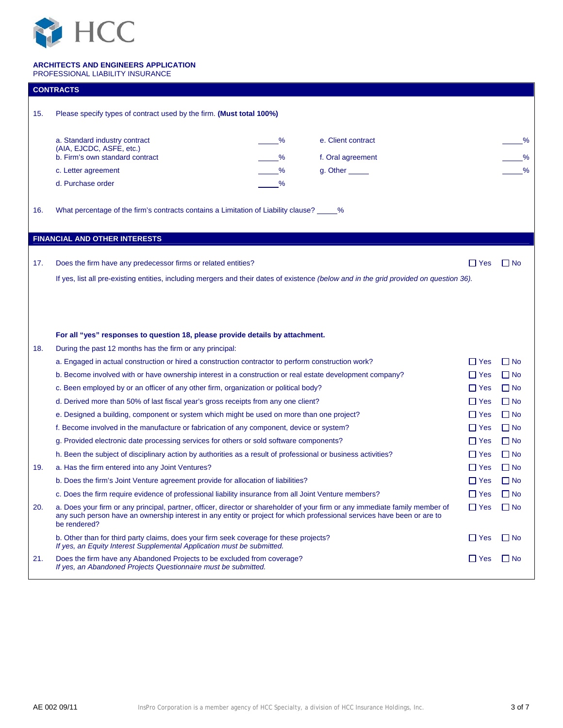

|     | <b>CONTRACTS</b>                                                                                                                                                                                                                                                        |                         |           |  |  |  |  |  |
|-----|-------------------------------------------------------------------------------------------------------------------------------------------------------------------------------------------------------------------------------------------------------------------------|-------------------------|-----------|--|--|--|--|--|
| 15. | Please specify types of contract used by the firm. (Must total 100%)                                                                                                                                                                                                    |                         |           |  |  |  |  |  |
|     |                                                                                                                                                                                                                                                                         |                         |           |  |  |  |  |  |
|     | a. Standard industry contract                                                                                                                                                                                                                                           | e. Client contract<br>℅ | ℅         |  |  |  |  |  |
|     | (AIA, EJCDC, ASFE, etc.)<br>b. Firm's own standard contract                                                                                                                                                                                                             | %<br>f. Oral agreement  | %         |  |  |  |  |  |
|     | c. Letter agreement                                                                                                                                                                                                                                                     | %<br>g. Other ______    | $\%$      |  |  |  |  |  |
|     | d. Purchase order                                                                                                                                                                                                                                                       | %                       |           |  |  |  |  |  |
| 16. | What percentage of the firm's contracts contains a Limitation of Liability clause? $\%$                                                                                                                                                                                 |                         |           |  |  |  |  |  |
|     |                                                                                                                                                                                                                                                                         |                         |           |  |  |  |  |  |
|     | <b>FINANCIAL AND OTHER INTERESTS</b>                                                                                                                                                                                                                                    |                         |           |  |  |  |  |  |
| 17. | Does the firm have any predecessor firms or related entities?                                                                                                                                                                                                           | $\Box$ Yes              | ∐ No      |  |  |  |  |  |
|     | If yes, list all pre-existing entities, including mergers and their dates of existence (below and in the grid provided on question 36).                                                                                                                                 |                         |           |  |  |  |  |  |
|     |                                                                                                                                                                                                                                                                         |                         |           |  |  |  |  |  |
|     |                                                                                                                                                                                                                                                                         |                         |           |  |  |  |  |  |
|     |                                                                                                                                                                                                                                                                         |                         |           |  |  |  |  |  |
|     | For all "yes" responses to question 18, please provide details by attachment.                                                                                                                                                                                           |                         |           |  |  |  |  |  |
| 18. | During the past 12 months has the firm or any principal:                                                                                                                                                                                                                |                         |           |  |  |  |  |  |
|     | a. Engaged in actual construction or hired a construction contractor to perform construction work?                                                                                                                                                                      | l I Yes                 | $\Box$ No |  |  |  |  |  |
|     | b. Become involved with or have ownership interest in a construction or real estate development company?                                                                                                                                                                | $\Box$ Yes              | $\Box$ No |  |  |  |  |  |
|     | c. Been employed by or an officer of any other firm, organization or political body?                                                                                                                                                                                    | l IYes                  | $\Box$ No |  |  |  |  |  |
|     | d. Derived more than 50% of last fiscal year's gross receipts from any one client?                                                                                                                                                                                      | $\Box$ Yes              | $\Box$ No |  |  |  |  |  |
|     | e. Designed a building, component or system which might be used on more than one project?                                                                                                                                                                               | $\Box$ Yes              | $\Box$ No |  |  |  |  |  |
|     | f. Become involved in the manufacture or fabrication of any component, device or system?                                                                                                                                                                                | l I Yes                 | $\Box$ No |  |  |  |  |  |
|     | g. Provided electronic date processing services for others or sold software components?                                                                                                                                                                                 | ∐ Yes                   | $\Box$ No |  |  |  |  |  |
|     | h. Been the subject of disciplinary action by authorities as a result of professional or business activities?                                                                                                                                                           | l IYes                  | $\Box$ No |  |  |  |  |  |
| 19. | a. Has the firm entered into any Joint Ventures?                                                                                                                                                                                                                        | $\Box$ Yes              | $\Box$ No |  |  |  |  |  |
|     | b. Does the firm's Joint Venture agreement provide for allocation of liabilities?                                                                                                                                                                                       | ∐ Yes                   | $\Box$ No |  |  |  |  |  |
|     | c. Does the firm require evidence of professional liability insurance from all Joint Venture members?                                                                                                                                                                   | $\Box$ Yes              | $\Box$ No |  |  |  |  |  |
| 20. | a. Does your firm or any principal, partner, officer, director or shareholder of your firm or any immediate family member of<br>any such person have an ownership interest in any entity or project for which professional services have been or are to<br>be rendered? | $\Box$ Yes              | $\Box$ No |  |  |  |  |  |
|     | b. Other than for third party claims, does your firm seek coverage for these projects?<br>If yes, an Equity Interest Supplemental Application must be submitted.                                                                                                        | $\Box$ Yes              | l I No    |  |  |  |  |  |
| 21. | Does the firm have any Abandoned Projects to be excluded from coverage?<br>If yes, an Abandoned Projects Questionnaire must be submitted.                                                                                                                               | $\Box$ Yes              | $\Box$ No |  |  |  |  |  |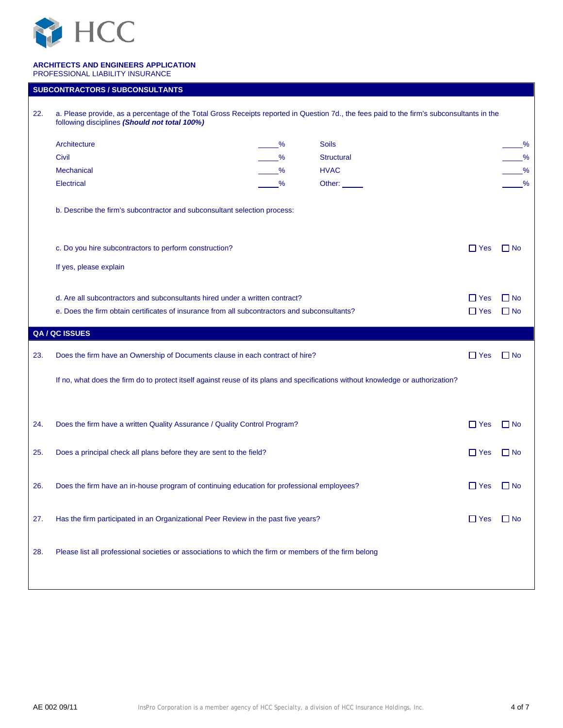

| 22. | a. Please provide, as a percentage of the Total Gross Receipts reported in Question 7d., the fees paid to the firm's subconsultants in the<br>following disciplines (Should not total 100%)               |   |                   |            |               |  |  |  |  |
|-----|-----------------------------------------------------------------------------------------------------------------------------------------------------------------------------------------------------------|---|-------------------|------------|---------------|--|--|--|--|
|     | Architecture                                                                                                                                                                                              | % | <b>Soils</b>      |            | %             |  |  |  |  |
|     | Civil                                                                                                                                                                                                     | % | <b>Structural</b> |            | $\frac{9}{6}$ |  |  |  |  |
|     | <b>Mechanical</b>                                                                                                                                                                                         | % | <b>HVAC</b>       |            | $\frac{9}{6}$ |  |  |  |  |
|     | <b>Electrical</b>                                                                                                                                                                                         | % | Other:            |            | %             |  |  |  |  |
|     | b. Describe the firm's subcontractor and subconsultant selection process:                                                                                                                                 |   |                   |            |               |  |  |  |  |
|     | c. Do you hire subcontractors to perform construction?                                                                                                                                                    |   |                   | $\Box$ Yes | $\Box$ No     |  |  |  |  |
|     |                                                                                                                                                                                                           |   |                   |            |               |  |  |  |  |
|     | If yes, please explain                                                                                                                                                                                    |   |                   |            |               |  |  |  |  |
|     | d. Are all subcontractors and subconsultants hired under a written contract?<br>$\Box$ Yes<br>e. Does the firm obtain certificates of insurance from all subcontractors and subconsultants?<br>$\Box$ Yes |   |                   |            |               |  |  |  |  |
|     | QA / QC ISSUES                                                                                                                                                                                            |   |                   |            |               |  |  |  |  |
| 23. | Does the firm have an Ownership of Documents clause in each contract of hire?                                                                                                                             |   |                   | $\Box$ Yes | $\Box$ No     |  |  |  |  |
|     | If no, what does the firm do to protect itself against reuse of its plans and specifications without knowledge or authorization?                                                                          |   |                   |            |               |  |  |  |  |
| 24. | Does the firm have a written Quality Assurance / Quality Control Program?                                                                                                                                 |   |                   |            |               |  |  |  |  |
| 25. | Does a principal check all plans before they are sent to the field?                                                                                                                                       |   |                   |            |               |  |  |  |  |
| 26. | Does the firm have an in-house program of continuing education for professional employees?                                                                                                                |   |                   |            |               |  |  |  |  |
| 27. | Has the firm participated in an Organizational Peer Review in the past five years?                                                                                                                        |   |                   |            |               |  |  |  |  |
| 28. | Please list all professional societies or associations to which the firm or members of the firm belong                                                                                                    |   |                   |            |               |  |  |  |  |
|     |                                                                                                                                                                                                           |   |                   |            |               |  |  |  |  |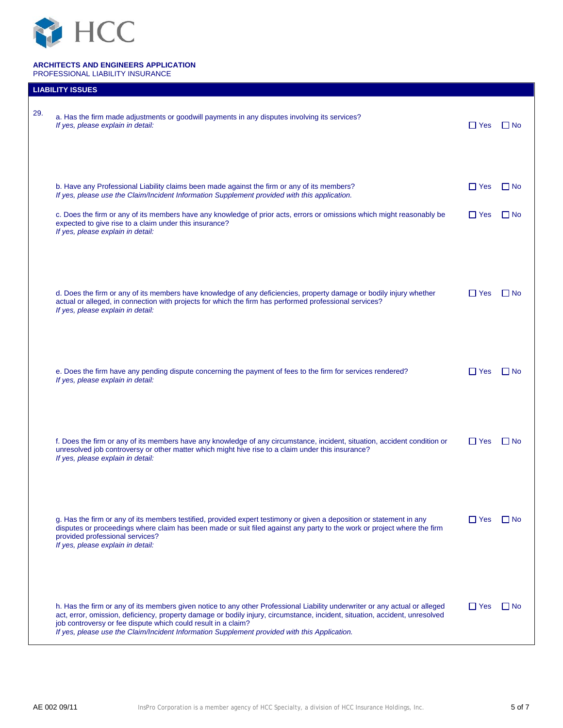

|     | <b>LIABILITY ISSUES</b>                                                                                                                                                                                                                                                                                                                                                                                                     |            |             |
|-----|-----------------------------------------------------------------------------------------------------------------------------------------------------------------------------------------------------------------------------------------------------------------------------------------------------------------------------------------------------------------------------------------------------------------------------|------------|-------------|
| 29. | a. Has the firm made adjustments or goodwill payments in any disputes involving its services?<br>If yes, please explain in detail:                                                                                                                                                                                                                                                                                          | $\Box$ Yes | l I No      |
|     | b. Have any Professional Liability claims been made against the firm or any of its members?<br>If yes, please use the Claim/Incident Information Supplement provided with this application.                                                                                                                                                                                                                                 | $\Box$ Yes | l I No      |
|     | c. Does the firm or any of its members have any knowledge of prior acts, errors or omissions which might reasonably be<br>expected to give rise to a claim under this insurance?<br>If yes, please explain in detail:                                                                                                                                                                                                       | $\Box$ Yes | l I No      |
|     | d. Does the firm or any of its members have knowledge of any deficiencies, property damage or bodily injury whether<br>actual or alleged, in connection with projects for which the firm has performed professional services?<br>If yes, please explain in detail:                                                                                                                                                          | I I Yes    | <b>FINO</b> |
|     | e. Does the firm have any pending dispute concerning the payment of fees to the firm for services rendered?<br>If yes, please explain in detail:                                                                                                                                                                                                                                                                            | I l Yes    | I I No      |
|     | f. Does the firm or any of its members have any knowledge of any circumstance, incident, situation, accident condition or<br>unresolved job controversy or other matter which might hive rise to a claim under this insurance?<br>If yes, please explain in detail:                                                                                                                                                         | $\Box$ Yes | l I No      |
|     | g. Has the firm or any of its members testified, provided expert testimony or given a deposition or statement in any<br>disputes or proceedings where claim has been made or suit filed against any party to the work or project where the firm<br>provided professional services?<br>If yes, please explain in detail:                                                                                                     | I l Yes    | l I No      |
|     | h. Has the firm or any of its members given notice to any other Professional Liability underwriter or any actual or alleged<br>act, error, omission, deficiency, property damage or bodily injury, circumstance, incident, situation, accident, unresolved<br>job controversy or fee dispute which could result in a claim?<br>If yes, please use the Claim/Incident Information Supplement provided with this Application. | I I Yes    | l I No      |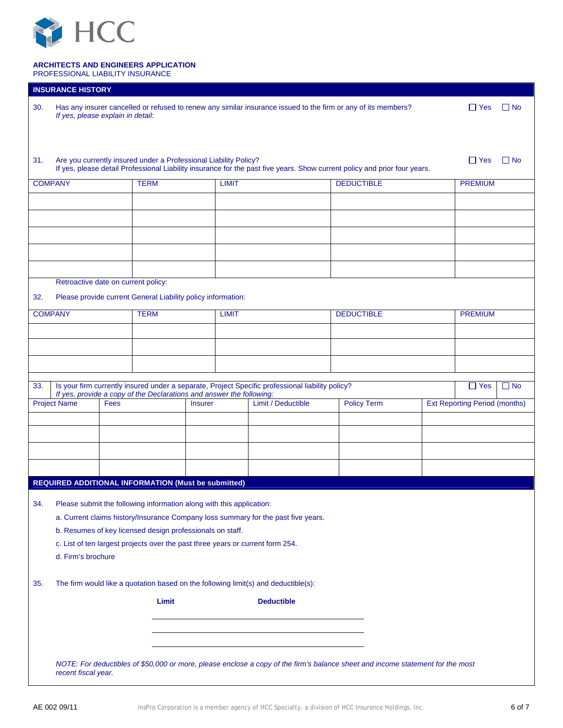

|                | <b>INSURANCE HISTORY</b>                                                                                                                                                                      |      |             |                                                                      |                                                                                                  |                    |  |                                      |           |  |
|----------------|-----------------------------------------------------------------------------------------------------------------------------------------------------------------------------------------------|------|-------------|----------------------------------------------------------------------|--------------------------------------------------------------------------------------------------|--------------------|--|--------------------------------------|-----------|--|
| 30.            | Has any insurer cancelled or refused to renew any similar insurance issued to the firm or any of its members?<br>$\Box$ Yes<br>If yes, please explain in detail:                              |      |             |                                                                      |                                                                                                  |                    |  |                                      | $\Box$ No |  |
|                |                                                                                                                                                                                               |      |             |                                                                      |                                                                                                  |                    |  |                                      |           |  |
| 31.            | Are you currently insured under a Professional Liability Policy?<br>If yes, please detail Professional Liability insurance for the past five years. Show current policy and prior four years. |      | $\Box$ Yes  | $\Box$ No                                                            |                                                                                                  |                    |  |                                      |           |  |
| <b>COMPANY</b> |                                                                                                                                                                                               |      | <b>TERM</b> | <b>LIMIT</b>                                                         |                                                                                                  | <b>DEDUCTIBLE</b>  |  |                                      |           |  |
|                |                                                                                                                                                                                               |      |             |                                                                      |                                                                                                  |                    |  |                                      |           |  |
|                |                                                                                                                                                                                               |      |             |                                                                      |                                                                                                  |                    |  |                                      |           |  |
|                |                                                                                                                                                                                               |      |             |                                                                      |                                                                                                  |                    |  |                                      |           |  |
|                |                                                                                                                                                                                               |      |             |                                                                      |                                                                                                  |                    |  |                                      |           |  |
|                |                                                                                                                                                                                               |      |             |                                                                      |                                                                                                  |                    |  |                                      |           |  |
|                |                                                                                                                                                                                               |      |             |                                                                      |                                                                                                  |                    |  |                                      |           |  |
|                | Retroactive date on current policy:                                                                                                                                                           |      |             |                                                                      |                                                                                                  |                    |  |                                      |           |  |
| 32.            |                                                                                                                                                                                               |      |             | Please provide current General Liability policy information:         |                                                                                                  |                    |  |                                      |           |  |
| <b>COMPANY</b> |                                                                                                                                                                                               |      | <b>TERM</b> | <b>LIMIT</b>                                                         |                                                                                                  | <b>DEDUCTIBLE</b>  |  | <b>PREMIUM</b>                       |           |  |
|                |                                                                                                                                                                                               |      |             |                                                                      |                                                                                                  |                    |  |                                      |           |  |
|                |                                                                                                                                                                                               |      |             |                                                                      |                                                                                                  |                    |  |                                      |           |  |
|                |                                                                                                                                                                                               |      |             |                                                                      |                                                                                                  |                    |  |                                      |           |  |
|                |                                                                                                                                                                                               |      |             |                                                                      |                                                                                                  |                    |  |                                      |           |  |
| 33.            |                                                                                                                                                                                               |      |             | If yes, provide a copy of the Declarations and answer the following: | Is your firm currently insured under a separate, Project Specific professional liability policy? |                    |  | $\Box$ Yes                           | $\Box$ No |  |
|                | <b>Project Name</b>                                                                                                                                                                           | Fees |             | <b>Insurer</b>                                                       | Limit / Deductible                                                                               | <b>Policy Term</b> |  | <b>Ext Reporting Period (months)</b> |           |  |
|                |                                                                                                                                                                                               |      |             |                                                                      |                                                                                                  |                    |  |                                      |           |  |
|                |                                                                                                                                                                                               |      |             |                                                                      |                                                                                                  |                    |  |                                      |           |  |
|                |                                                                                                                                                                                               |      |             |                                                                      |                                                                                                  |                    |  |                                      |           |  |
|                |                                                                                                                                                                                               |      |             |                                                                      |                                                                                                  |                    |  |                                      |           |  |
|                |                                                                                                                                                                                               |      |             | <b>REQUIRED ADDITIONAL INFORMATION (Must be submitted)</b>           |                                                                                                  |                    |  |                                      |           |  |
|                |                                                                                                                                                                                               |      |             |                                                                      |                                                                                                  |                    |  |                                      |           |  |
| 34.            |                                                                                                                                                                                               |      |             | Please submit the following information along with this application: | a. Current claims history/Insurance Company loss summary for the past five years.                |                    |  |                                      |           |  |
|                |                                                                                                                                                                                               |      |             |                                                                      |                                                                                                  |                    |  |                                      |           |  |
|                | b. Resumes of key licensed design professionals on staff.<br>c. List of ten largest projects over the past three years or current form 254.                                                   |      |             |                                                                      |                                                                                                  |                    |  |                                      |           |  |
|                | d. Firm's brochure                                                                                                                                                                            |      |             |                                                                      |                                                                                                  |                    |  |                                      |           |  |
|                |                                                                                                                                                                                               |      |             |                                                                      |                                                                                                  |                    |  |                                      |           |  |
| 35.            |                                                                                                                                                                                               |      |             |                                                                      | The firm would like a quotation based on the following limit(s) and deductible(s):               |                    |  |                                      |           |  |
|                |                                                                                                                                                                                               |      | Limit       |                                                                      | <b>Deductible</b>                                                                                |                    |  |                                      |           |  |
|                |                                                                                                                                                                                               |      |             |                                                                      |                                                                                                  |                    |  |                                      |           |  |
|                |                                                                                                                                                                                               |      |             |                                                                      |                                                                                                  |                    |  |                                      |           |  |
|                |                                                                                                                                                                                               |      |             |                                                                      |                                                                                                  |                    |  |                                      |           |  |
|                | NOTE: For deductibles of \$50,000 or more, please enclose a copy of the firm's balance sheet and income statement for the most<br>recent fiscal year.                                         |      |             |                                                                      |                                                                                                  |                    |  |                                      |           |  |